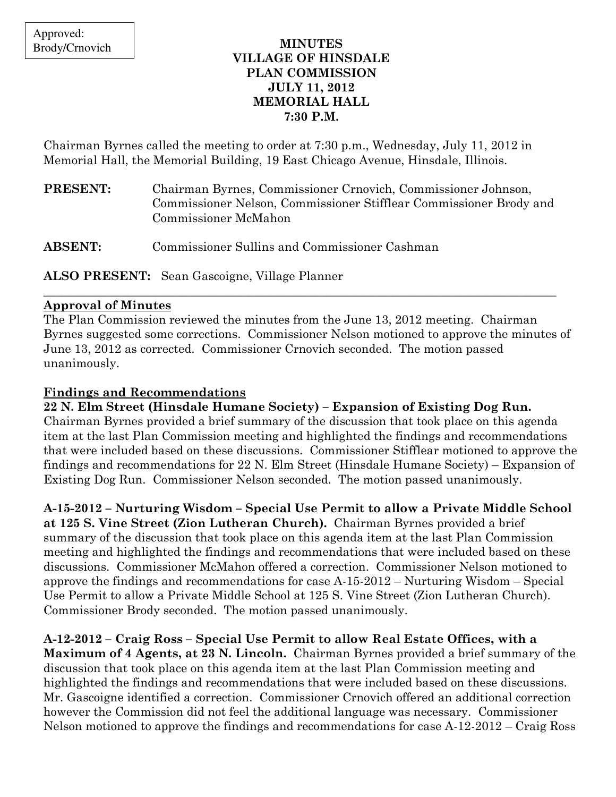## MINUTES VILLAGE OF HINSDALE PLAN COMMISSION JULY 11, 2012 MEMORIAL HALL 7:30 P.M.

Chairman Byrnes called the meeting to order at 7:30 p.m., Wednesday, July 11, 2012 in Memorial Hall, the Memorial Building, 19 East Chicago Avenue, Hinsdale, Illinois.

| <b>PRESENT:</b> | Chairman Byrnes, Commissioner Crnovich, Commissioner Johnson,      |
|-----------------|--------------------------------------------------------------------|
|                 | Commissioner Nelson, Commissioner Stifflear Commissioner Brody and |
|                 | Commissioner McMahon                                               |
|                 |                                                                    |

ABSENT: Commissioner Sullins and Commissioner Cashman

ALSO PRESENT: Sean Gascoigne, Village Planner

## Approval of Minutes

The Plan Commission reviewed the minutes from the June 13, 2012 meeting. Chairman Byrnes suggested some corrections. Commissioner Nelson motioned to approve the minutes of June 13, 2012 as corrected. Commissioner Crnovich seconded. The motion passed unanimously.

\_\_\_\_\_\_\_\_\_\_\_\_\_\_\_\_\_\_\_\_\_\_\_\_\_\_\_\_\_\_\_\_\_\_\_\_\_\_\_\_\_\_\_\_\_\_\_\_\_\_\_\_\_\_\_\_\_\_\_\_\_\_\_\_\_\_\_\_\_\_\_\_\_\_\_\_\_\_\_\_\_\_\_\_\_

## Findings and Recommendations

22 N. Elm Street (Hinsdale Humane Society) – Expansion of Existing Dog Run. Chairman Byrnes provided a brief summary of the discussion that took place on this agenda item at the last Plan Commission meeting and highlighted the findings and recommendations that were included based on these discussions. Commissioner Stifflear motioned to approve the findings and recommendations for 22 N. Elm Street (Hinsdale Humane Society) – Expansion of Existing Dog Run. Commissioner Nelson seconded. The motion passed unanimously.

# A-15-2012 – Nurturing Wisdom – Special Use Permit to allow a Private Middle School

at 125 S. Vine Street (Zion Lutheran Church). Chairman Byrnes provided a brief summary of the discussion that took place on this agenda item at the last Plan Commission meeting and highlighted the findings and recommendations that were included based on these discussions. Commissioner McMahon offered a correction. Commissioner Nelson motioned to approve the findings and recommendations for case A-15-2012 – Nurturing Wisdom – Special Use Permit to allow a Private Middle School at 125 S. Vine Street (Zion Lutheran Church). Commissioner Brody seconded. The motion passed unanimously.

A-12-2012 – Craig Ross – Special Use Permit to allow Real Estate Offices, with a Maximum of 4 Agents, at 23 N. Lincoln. Chairman Byrnes provided a brief summary of the discussion that took place on this agenda item at the last Plan Commission meeting and highlighted the findings and recommendations that were included based on these discussions. Mr. Gascoigne identified a correction. Commissioner Crnovich offered an additional correction however the Commission did not feel the additional language was necessary. Commissioner Nelson motioned to approve the findings and recommendations for case A-12-2012 – Craig Ross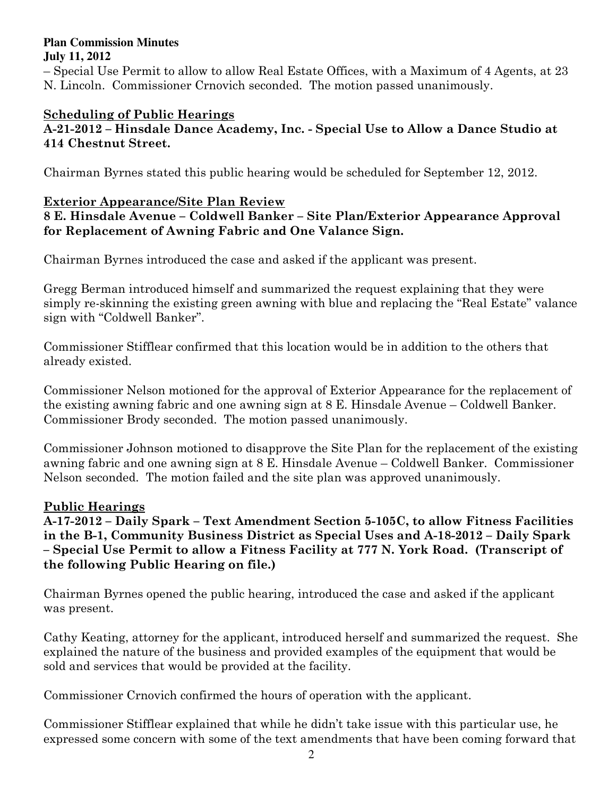#### **Plan Commission Minutes July 11, 2012**

– Special Use Permit to allow to allow Real Estate Offices, with a Maximum of 4 Agents, at 23 N. Lincoln. Commissioner Crnovich seconded. The motion passed unanimously.

# Scheduling of Public Hearings

## A-21-2012 – Hinsdale Dance Academy, Inc. - Special Use to Allow a Dance Studio at 414 Chestnut Street.

Chairman Byrnes stated this public hearing would be scheduled for September 12, 2012.

## Exterior Appearance/Site Plan Review

## 8 E. Hinsdale Avenue – Coldwell Banker – Site Plan/Exterior Appearance Approval for Replacement of Awning Fabric and One Valance Sign.

Chairman Byrnes introduced the case and asked if the applicant was present.

Gregg Berman introduced himself and summarized the request explaining that they were simply re-skinning the existing green awning with blue and replacing the "Real Estate" valance sign with "Coldwell Banker".

Commissioner Stifflear confirmed that this location would be in addition to the others that already existed.

Commissioner Nelson motioned for the approval of Exterior Appearance for the replacement of the existing awning fabric and one awning sign at 8 E. Hinsdale Avenue – Coldwell Banker. Commissioner Brody seconded. The motion passed unanimously.

Commissioner Johnson motioned to disapprove the Site Plan for the replacement of the existing awning fabric and one awning sign at 8 E. Hinsdale Avenue – Coldwell Banker. Commissioner Nelson seconded. The motion failed and the site plan was approved unanimously.

# Public Hearings

A-17-2012 – Daily Spark – Text Amendment Section 5-105C, to allow Fitness Facilities in the B-1, Community Business District as Special Uses and A-18-2012 – Daily Spark – Special Use Permit to allow a Fitness Facility at 777 N. York Road. (Transcript of the following Public Hearing on file.)

Chairman Byrnes opened the public hearing, introduced the case and asked if the applicant was present.

Cathy Keating, attorney for the applicant, introduced herself and summarized the request. She explained the nature of the business and provided examples of the equipment that would be sold and services that would be provided at the facility.

Commissioner Crnovich confirmed the hours of operation with the applicant.

Commissioner Stifflear explained that while he didn't take issue with this particular use, he expressed some concern with some of the text amendments that have been coming forward that